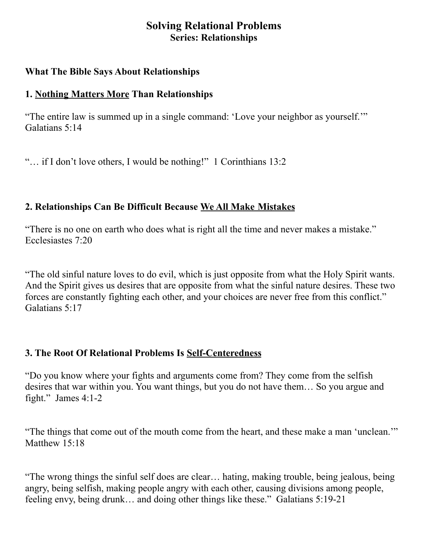# **Solving Relational Problems Series: Relationships**

#### **What The Bible Says About Relationships**

# **1. Nothing Matters More Than Relationships**

"The entire law is summed up in a single command: 'Love your neighbor as yourself.'" Galatians 5:14

"… if I don't love others, I would be nothing!" 1 Corinthians 13:2

# **2. Relationships Can Be Difficult Because We All Make Mistakes**

"There is no one on earth who does what is right all the time and never makes a mistake." Ecclesiastes 7:20

"The old sinful nature loves to do evil, which is just opposite from what the Holy Spirit wants. And the Spirit gives us desires that are opposite from what the sinful nature desires. These two forces are constantly fighting each other, and your choices are never free from this conflict." Galatians 5:17

# **3. The Root Of Relational Problems Is Self-Centeredness**

"Do you know where your fights and arguments come from? They come from the selfish desires that war within you. You want things, but you do not have them… So you argue and fight." James 4:1-2

"The things that come out of the mouth come from the heart, and these make a man 'unclean.'" Matthew 15:18

"The wrong things the sinful self does are clear… hating, making trouble, being jealous, being angry, being selfish, making people angry with each other, causing divisions among people, feeling envy, being drunk… and doing other things like these." Galatians 5:19-21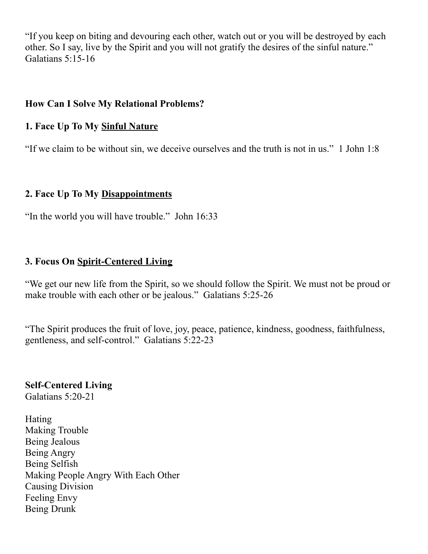"If you keep on biting and devouring each other, watch out or you will be destroyed by each other. So I say, live by the Spirit and you will not gratify the desires of the sinful nature." Galatians 5:15-16

#### **How Can I Solve My Relational Problems?**

## **1. Face Up To My Sinful Nature**

"If we claim to be without sin, we deceive ourselves and the truth is not in us." 1 John 1:8

## **2. Face Up To My Disappointments**

"In the world you will have trouble." John 16:33

## **3. Focus On Spirit-Centered Living**

"We get our new life from the Spirit, so we should follow the Spirit. We must not be proud or make trouble with each other or be jealous." Galatians 5:25-26

"The Spirit produces the fruit of love, joy, peace, patience, kindness, goodness, faithfulness, gentleness, and self-control." Galatians 5:22-23

**Self-Centered Living** Galatians 5:20-21

Hating Making Trouble Being Jealous Being Angry Being Selfish Making People Angry With Each Other Causing Division Feeling Envy Being Drunk